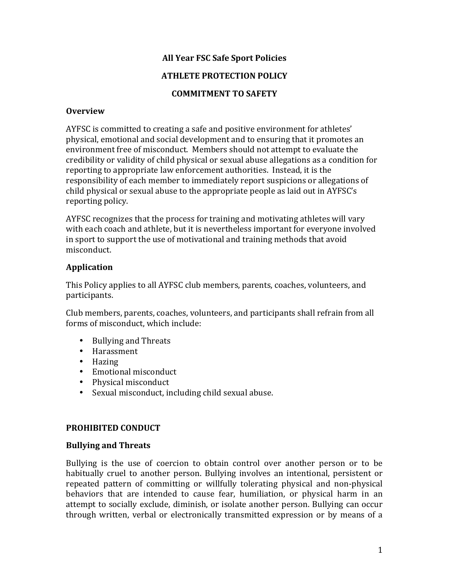## **All Year FSC Safe Sport Policies**

## **ATHLETE PROTECTION POLICY**

## **COMMITMENT TO SAFETY**

#### **Overview**

AYFSC is committed to creating a safe and positive environment for athletes' physical, emotional and social development and to ensuring that it promotes an environment free of misconduct. Members should not attempt to evaluate the credibility or validity of child physical or sexual abuse allegations as a condition for reporting to appropriate law enforcement authorities. Instead, it is the responsibility of each member to immediately report suspicions or allegations of child physical or sexual abuse to the appropriate people as laid out in AYFSC's reporting policy.

AYFSC recognizes that the process for training and motivating athletes will vary with each coach and athlete, but it is nevertheless important for everyone involved in sport to support the use of motivational and training methods that avoid misconduct. 

### **Application**

This Policy applies to all AYFSC club members, parents, coaches, volunteers, and participants.

Club members, parents, coaches, volunteers, and participants shall refrain from all forms of misconduct, which include:

- Bullying and Threats
- Harassment
- Hazing
- Emotional misconduct
- Physical misconduct
- Sexual misconduct, including child sexual abuse.

#### **PROHIBITED CONDUCT**

#### **Bullying and Threats**

Bullying is the use of coercion to obtain control over another person or to be habitually cruel to another person. Bullying involves an intentional, persistent or repeated pattern of committing or willfully tolerating physical and non-physical behaviors that are intended to cause fear, humiliation, or physical harm in an attempt to socially exclude, diminish, or isolate another person. Bullying can occur through written, verbal or electronically transmitted expression or by means of a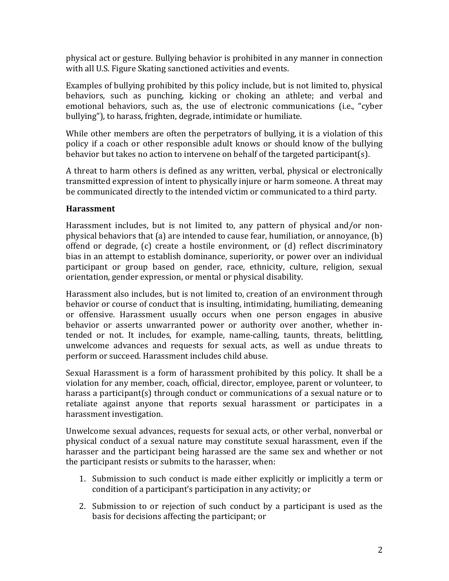physical act or gesture. Bullying behavior is prohibited in any manner in connection with all U.S. Figure Skating sanctioned activities and events.

Examples of bullying prohibited by this policy include, but is not limited to, physical behaviors, such as punching, kicking or choking an athlete; and verbal and emotional behaviors, such as, the use of electronic communications (i.e., "cyber bullying"), to harass, frighten, degrade, intimidate or humiliate.

While other members are often the perpetrators of bullying, it is a violation of this policy if a coach or other responsible adult knows or should know of the bullying behavior but takes no action to intervene on behalf of the targeted participant(s).

A threat to harm others is defined as any written, verbal, physical or electronically transmitted expression of intent to physically injure or harm someone. A threat may be communicated directly to the intended victim or communicated to a third party.

### **Harassment**

Harassment includes, but is not limited to, any pattern of physical and/or nonphysical behaviors that  $\alpha$  are intended to cause fear, humiliation, or annoyance,  $\beta$ ) offend or degrade, (c) create a hostile environment, or (d) reflect discriminatory bias in an attempt to establish dominance, superiority, or power over an individual participant or group based on gender, race, ethnicity, culture, religion, sexual orientation, gender expression, or mental or physical disability.

Harassment also includes, but is not limited to, creation of an environment through behavior or course of conduct that is insulting, intimidating, humiliating, demeaning or offensive. Harassment usually occurs when one person engages in abusive behavior or asserts unwarranted power or authority over another, whether intended or not. It includes, for example, name-calling, taunts, threats, belittling, unwelcome advances and requests for sexual acts, as well as undue threats to perform or succeed. Harassment includes child abuse.

Sexual Harassment is a form of harassment prohibited by this policy. It shall be a violation for any member, coach, official, director, employee, parent or volunteer, to harass a participant(s) through conduct or communications of a sexual nature or to retaliate against anyone that reports sexual harassment or participates in a harassment investigation.

Unwelcome sexual advances, requests for sexual acts, or other verbal, nonverbal or physical conduct of a sexual nature may constitute sexual harassment, even if the harasser and the participant being harassed are the same sex and whether or not the participant resists or submits to the harasser, when:

- 1. Submission to such conduct is made either explicitly or implicitly a term or condition of a participant's participation in any activity; or
- 2. Submission to or rejection of such conduct by a participant is used as the basis for decisions affecting the participant; or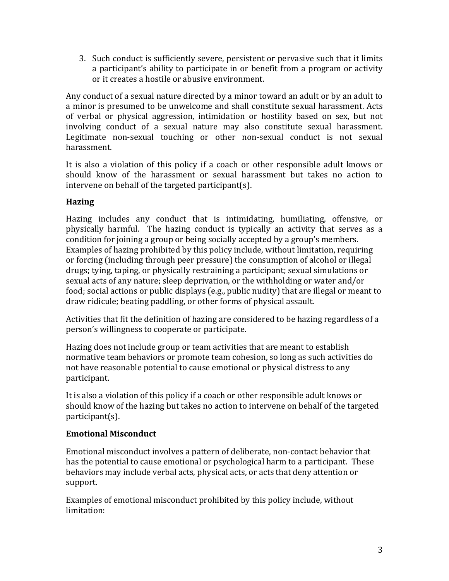3. Such conduct is sufficiently severe, persistent or pervasive such that it limits a participant's ability to participate in or benefit from a program or activity or it creates a hostile or abusive environment.

Any conduct of a sexual nature directed by a minor toward an adult or by an adult to a minor is presumed to be unwelcome and shall constitute sexual harassment. Acts of verbal or physical aggression, intimidation or hostility based on sex, but not involving conduct of a sexual nature may also constitute sexual harassment. Legitimate non-sexual touching or other non-sexual conduct is not sexual harassment.

It is also a violation of this policy if a coach or other responsible adult knows or should know of the harassment or sexual harassment but takes no action to intervene on behalf of the targeted participant(s).

# **Hazing**

Hazing includes any conduct that is intimidating, humiliating, offensive, or physically harmful. The hazing conduct is typically an activity that serves as a condition for joining a group or being socially accepted by a group's members. Examples of hazing prohibited by this policy include, without limitation, requiring or forcing (including through peer pressure) the consumption of alcohol or illegal drugs; tying, taping, or physically restraining a participant; sexual simulations or sexual acts of any nature; sleep deprivation, or the withholding or water and/or food; social actions or public displays (e.g., public nudity) that are illegal or meant to draw ridicule; beating paddling, or other forms of physical assault.

Activities that fit the definition of hazing are considered to be hazing regardless of a person's willingness to cooperate or participate.

Hazing does not include group or team activities that are meant to establish normative team behaviors or promote team cohesion, so long as such activities do not have reasonable potential to cause emotional or physical distress to any participant. 

It is also a violation of this policy if a coach or other responsible adult knows or should know of the hazing but takes no action to intervene on behalf of the targeted participant(s).

# **Emotional Misconduct**

Emotional misconduct involves a pattern of deliberate, non-contact behavior that has the potential to cause emotional or psychological harm to a participant. These behaviors may include verbal acts, physical acts, or acts that deny attention or support.

Examples of emotional misconduct prohibited by this policy include, without limitation: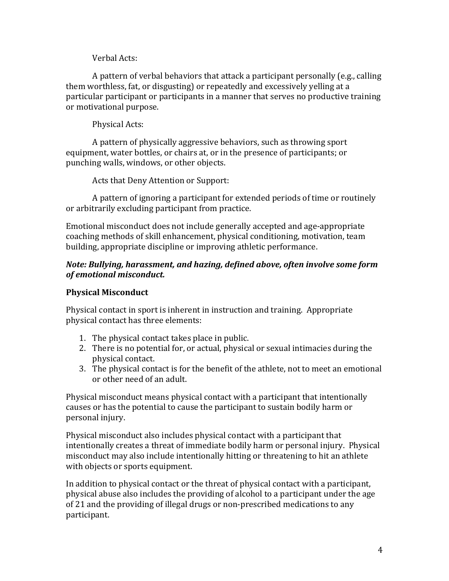Verbal Acts:

A pattern of verbal behaviors that attack a participant personally (e.g., calling them worthless, fat, or disgusting) or repeatedly and excessively yelling at a particular participant or participants in a manner that serves no productive training or motivational purpose.

Physical Acts:

A pattern of physically aggressive behaviors, such as throwing sport equipment, water bottles, or chairs at, or in the presence of participants; or punching walls, windows, or other objects.

Acts that Deny Attention or Support:

A pattern of ignoring a participant for extended periods of time or routinely or arbitrarily excluding participant from practice.

Emotional misconduct does not include generally accepted and age-appropriate coaching methods of skill enhancement, physical conditioning, motivation, team building, appropriate discipline or improving athletic performance.

## *Note: Bullying, harassment, and hazing, defined above, often involve some form*  $of$  emotional misconduct.

# **Physical Misconduct**

Physical contact in sport is inherent in instruction and training. Appropriate physical contact has three elements:

- 1. The physical contact takes place in public.
- 2. There is no potential for, or actual, physical or sexual intimacies during the physical contact.
- 3. The physical contact is for the benefit of the athlete, not to meet an emotional or other need of an adult.

Physical misconduct means physical contact with a participant that intentionally causes or has the potential to cause the participant to sustain bodily harm or personal injury.

Physical misconduct also includes physical contact with a participant that intentionally creates a threat of immediate bodily harm or personal injury. Physical misconduct may also include intentionally hitting or threatening to hit an athlete with objects or sports equipment.

In addition to physical contact or the threat of physical contact with a participant, physical abuse also includes the providing of alcohol to a participant under the age of 21 and the providing of illegal drugs or non-prescribed medications to any participant.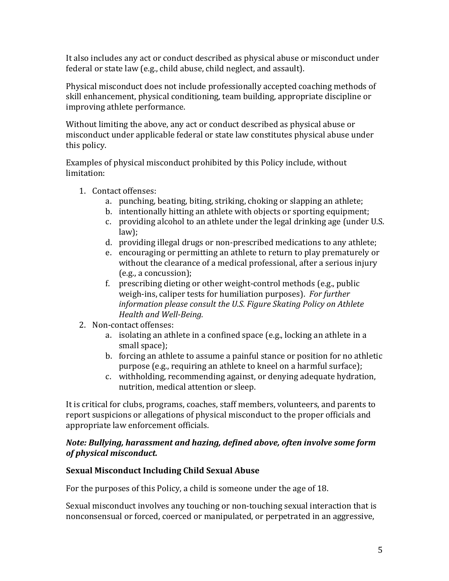It also includes any act or conduct described as physical abuse or misconduct under federal or state law (e.g., child abuse, child neglect, and assault).

Physical misconduct does not include professionally accepted coaching methods of skill enhancement, physical conditioning, team building, appropriate discipline or improving athlete performance.

Without limiting the above, any act or conduct described as physical abuse or misconduct under applicable federal or state law constitutes physical abuse under this policy.

Examples of physical misconduct prohibited by this Policy include, without limitation: 

- 1. Contact offenses:
	- a. punching, beating, biting, striking, choking or slapping an athlete;
	- b. intentionally hitting an athlete with objects or sporting equipment;
	- c. providing alcohol to an athlete under the legal drinking age (under U.S. law);
	- d. providing illegal drugs or non-prescribed medications to any athlete;
	- e. encouraging or permitting an athlete to return to play prematurely or without the clearance of a medical professional, after a serious injury  $(e.g., a concussion);$
	- f. prescribing dieting or other weight-control methods (e.g., public weigh-ins, caliper tests for humiliation purposes). For further *information please consult the U.S. Figure Skating Policy on Athlete Health and Well-Being.*
- 2. Non-contact offenses:
	- a. isolating an athlete in a confined space (e.g., locking an athlete in a small space);
	- b. forcing an athlete to assume a painful stance or position for no athletic purpose (e.g., requiring an athlete to kneel on a harmful surface);
	- c. withholding, recommending against, or denying adequate hydration, nutrition, medical attention or sleep.

It is critical for clubs, programs, coaches, staff members, volunteers, and parents to report suspicions or allegations of physical misconduct to the proper officials and appropriate law enforcement officials.

### *Note: Bullying, harassment and hazing, defined above, often involve some form of physical misconduct.*

## **Sexual Misconduct Including Child Sexual Abuse**

For the purposes of this Policy, a child is someone under the age of 18.

Sexual misconduct involves any touching or non-touching sexual interaction that is nonconsensual or forced, coerced or manipulated, or perpetrated in an aggressive,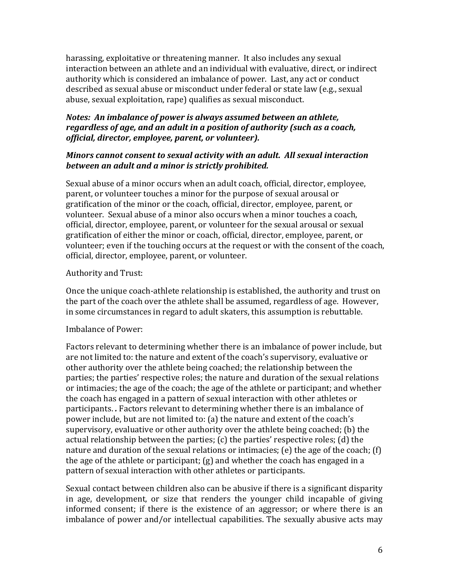harassing, exploitative or threatening manner. It also includes any sexual interaction between an athlete and an individual with evaluative, direct, or indirect authority which is considered an imbalance of power. Last, any act or conduct described as sexual abuse or misconduct under federal or state law (e.g., sexual abuse, sexual exploitation, rape) qualifies as sexual misconduct.

## *Notes: An imbalance of power is always assumed between an athlete, regardless of age, and an adult in a position of authority (such as a coach, official, director, employee, parent, or volunteer).*

#### *Minors cannot consent to sexual activity with an adult. All sexual interaction* between an adult and a minor is strictly prohibited.

Sexual abuse of a minor occurs when an adult coach, official, director, employee, parent, or volunteer touches a minor for the purpose of sexual arousal or gratification of the minor or the coach, official, director, employee, parent, or volunteer. Sexual abuse of a minor also occurs when a minor touches a coach, official, director, employee, parent, or volunteer for the sexual arousal or sexual gratification of either the minor or coach, official, director, employee, parent, or volunteer; even if the touching occurs at the request or with the consent of the coach, official, director, employee, parent, or volunteer.

### Authority and Trust:

Once the unique coach-athlete relationship is established, the authority and trust on the part of the coach over the athlete shall be assumed, regardless of age. However, in some circumstances in regard to adult skaters, this assumption is rebuttable.

## Imbalance of Power:

Factors relevant to determining whether there is an imbalance of power include, but are not limited to: the nature and extent of the coach's supervisory, evaluative or other authority over the athlete being coached; the relationship between the parties; the parties' respective roles; the nature and duration of the sexual relations or intimacies; the age of the coach; the age of the athlete or participant; and whether the coach has engaged in a pattern of sexual interaction with other athletes or participants. *.* Factors relevant to determining whether there is an imbalance of power include, but are not limited to: (a) the nature and extent of the coach's supervisory, evaluative or other authority over the athlete being coached; (b) the actual relationship between the parties;  $(c)$  the parties' respective roles;  $(d)$  the nature and duration of the sexual relations or intimacies; (e) the age of the coach; (f) the age of the athlete or participant;  $(g)$  and whether the coach has engaged in a pattern of sexual interaction with other athletes or participants.

Sexual contact between children also can be abusive if there is a significant disparity in age, development, or size that renders the younger child incapable of giving informed consent; if there is the existence of an aggressor; or where there is an imbalance of power and/or intellectual capabilities. The sexually abusive acts may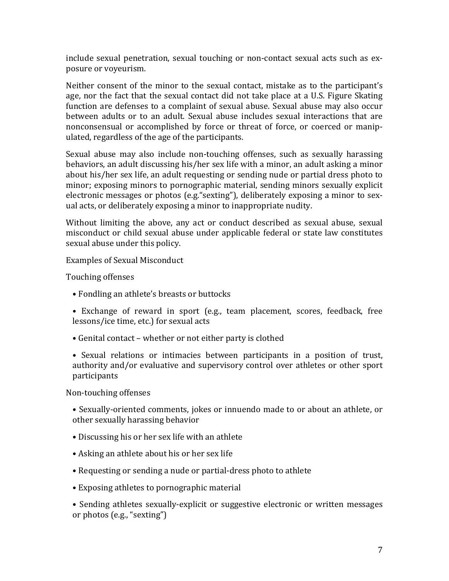include sexual penetration, sexual touching or non-contact sexual acts such as exposure or voyeurism.

Neither consent of the minor to the sexual contact, mistake as to the participant's age, nor the fact that the sexual contact did not take place at a U.S. Figure Skating function are defenses to a complaint of sexual abuse. Sexual abuse may also occur between adults or to an adult. Sexual abuse includes sexual interactions that are nonconsensual or accomplished by force or threat of force, or coerced or manipulated, regardless of the age of the participants.

Sexual abuse may also include non-touching offenses, such as sexually harassing behaviors, an adult discussing his/her sex life with a minor, an adult asking a minor about his/her sex life, an adult requesting or sending nude or partial dress photo to minor; exposing minors to pornographic material, sending minors sexually explicit electronic messages or photos (e.g. "sexting"), deliberately exposing a minor to sexual acts, or deliberately exposing a minor to inappropriate nudity.

Without limiting the above, any act or conduct described as sexual abuse, sexual misconduct or child sexual abuse under applicable federal or state law constitutes sexual abuse under this policy.

Examples of Sexual Misconduct

Touching offenses

- Fondling an athlete's breasts or buttocks
- Exchange of reward in sport (e.g., team placement, scores, feedback, free lessons/ice time, etc.) for sexual acts
- Genital contact whether or not either party is clothed
- Sexual relations or intimacies between participants in a position of trust, authority and/or evaluative and supervisory control over athletes or other sport participants

Non-touching offenses

• Sexually-oriented comments, jokes or innuendo made to or about an athlete, or other sexually harassing behavior

- Discussing his or her sex life with an athlete
- Asking an athlete about his or her sex life
- Requesting or sending a nude or partial-dress photo to athlete
- Exposing athletes to pornographic material

• Sending athletes sexually-explicit or suggestive electronic or written messages or photos (e.g., "sexting")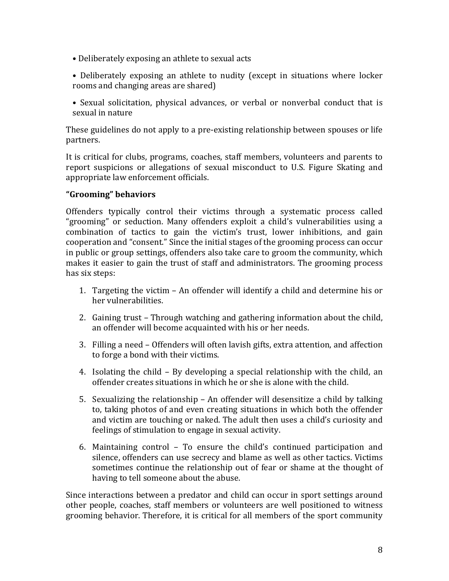- Deliberately exposing an athlete to sexual acts
- Deliberately exposing an athlete to nudity (except in situations where locker rooms and changing areas are shared)
- Sexual solicitation, physical advances, or verbal or nonverbal conduct that is sexual in nature

These guidelines do not apply to a pre-existing relationship between spouses or life partners.

It is critical for clubs, programs, coaches, staff members, volunteers and parents to report suspicions or allegations of sexual misconduct to U.S. Figure Skating and appropriate law enforcement officials.

### **"Grooming" behaviors**

Offenders typically control their victims through a systematic process called "grooming" or seduction. Many offenders exploit a child's vulnerabilities using a combination of tactics to gain the victim's trust, lower inhibitions, and gain cooperation and "consent." Since the initial stages of the grooming process can occur in public or group settings, offenders also take care to groom the community, which makes it easier to gain the trust of staff and administrators. The grooming process has six steps:

- 1. Targeting the victim An offender will identify a child and determine his or her vulnerabilities.
- 2. Gaining trust Through watching and gathering information about the child, an offender will become acquainted with his or her needs.
- 3. Filling a need Offenders will often lavish gifts, extra attention, and affection to forge a bond with their victims.
- 4. Isolating the child  $-$  By developing a special relationship with the child, an offender creates situations in which he or she is alone with the child.
- 5. Sexualizing the relationship An offender will desensitize a child by talking to, taking photos of and even creating situations in which both the offender and victim are touching or naked. The adult then uses a child's curiosity and feelings of stimulation to engage in sexual activity.
- 6. Maintaining control To ensure the child's continued participation and silence, offenders can use secrecy and blame as well as other tactics. Victims sometimes continue the relationship out of fear or shame at the thought of having to tell someone about the abuse.

Since interactions between a predator and child can occur in sport settings around other people, coaches, staff members or volunteers are well positioned to witness grooming behavior. Therefore, it is critical for all members of the sport community